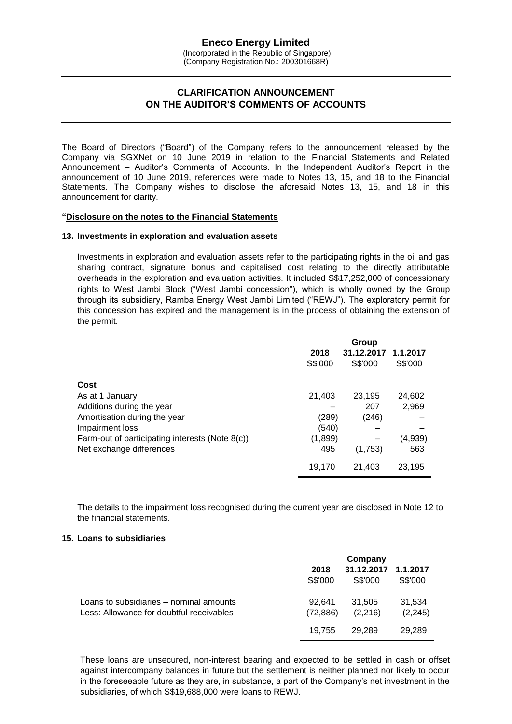# **CLARIFICATION ANNOUNCEMENT ON THE AUDITOR'S COMMENTS OF ACCOUNTS**

The Board of Directors ("Board") of the Company refers to the announcement released by the Company via SGXNet on 10 June 2019 in relation to the Financial Statements and Related Announcement – Auditor's Comments of Accounts. In the Independent Auditor's Report in the announcement of 10 June 2019, references were made to Notes 13, 15, and 18 to the Financial Statements. The Company wishes to disclose the aforesaid Notes 13, 15, and 18 in this announcement for clarity.

#### **"Disclosure on the notes to the Financial Statements**

#### **13. Investments in exploration and evaluation assets**

Investments in exploration and evaluation assets refer to the participating rights in the oil and gas sharing contract, signature bonus and capitalised cost relating to the directly attributable overheads in the exploration and evaluation activities. It included S\$17,252,000 of concessionary rights to West Jambi Block ("West Jambi concession"), which is wholly owned by the Group through its subsidiary, Ramba Energy West Jambi Limited ("REWJ"). The exploratory permit for this concession has expired and the management is in the process of obtaining the extension of the permit.

|                                                 |         | Group      |          |
|-------------------------------------------------|---------|------------|----------|
|                                                 | 2018    | 31.12.2017 | 1.1.2017 |
|                                                 | S\$'000 | S\$'000    | S\$'000  |
| Cost                                            |         |            |          |
| As at 1 January                                 | 21,403  | 23,195     | 24,602   |
| Additions during the year                       |         | 207        | 2,969    |
| Amortisation during the year                    | (289)   | (246)      |          |
| Impairment loss                                 | (540)   |            |          |
| Farm-out of participating interests (Note 8(c)) | (1,899) |            | (4,939)  |
| Net exchange differences                        | 495     | (1,753)    | 563      |
|                                                 | 19,170  | 21,403     | 23,195   |

The details to the impairment loss recognised during the current year are disclosed in Note 12 to the financial statements.

#### **15. Loans to subsidiaries**

|                                          |           | Company    |          |
|------------------------------------------|-----------|------------|----------|
|                                          | 2018      | 31.12.2017 | 1.1.2017 |
|                                          | S\$'000   | S\$'000    | S\$'000  |
| Loans to subsidiaries – nominal amounts  | 92.641    | 31.505     | 31,534   |
| Less: Allowance for doubtful receivables | (72, 886) | (2,216)    | (2, 245) |
|                                          | 19.755    | 29.289     | 29,289   |

These loans are unsecured, non-interest bearing and expected to be settled in cash or offset against intercompany balances in future but the settlement is neither planned nor likely to occur in the foreseeable future as they are, in substance, a part of the Company's net investment in the subsidiaries, of which S\$19,688,000 were loans to REWJ.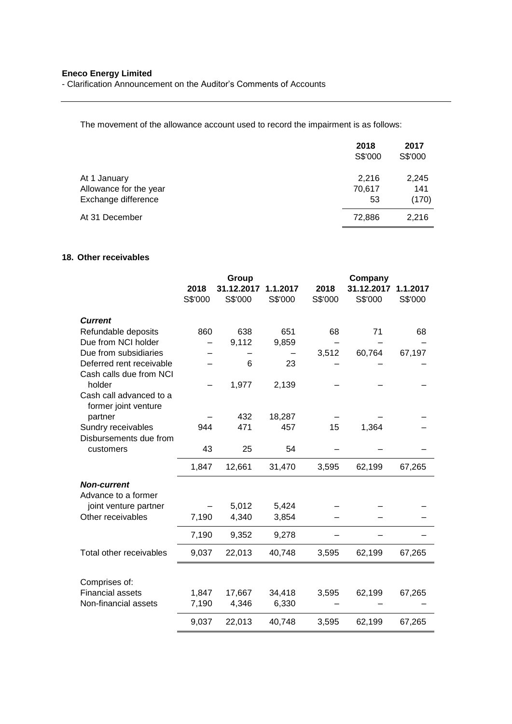- Clarification Announcement on the Auditor's Comments of Accounts

The movement of the allowance account used to record the impairment is as follows:

|                                                               | 2018<br>S\$'000       | 2017<br>S\$'000       |
|---------------------------------------------------------------|-----------------------|-----------------------|
| At 1 January<br>Allowance for the year<br>Exchange difference | 2.216<br>70,617<br>53 | 2,245<br>141<br>(170) |
| At 31 December                                                | 72,886                | 2.216                 |

# **18. Other receivables**

|                               |         | Group      |               |         | Company    |          |
|-------------------------------|---------|------------|---------------|---------|------------|----------|
|                               | 2018    | 31.12.2017 | 1.1.2017      | 2018    | 31.12.2017 | 1.1.2017 |
|                               | S\$'000 | S\$'000    | S\$'000       | S\$'000 | S\$'000    | S\$'000  |
|                               |         |            |               |         |            |          |
| <b>Current</b>                |         |            |               |         |            |          |
| Refundable deposits           | 860     | 638        | 651           | 68      | 71         | 68       |
| Due from NCI holder           |         | 9,112      | 9,859         |         |            |          |
| Due from subsidiaries         |         | 6          |               | 3,512   | 60,764     | 67,197   |
| Deferred rent receivable      |         |            | 23            |         |            |          |
| Cash calls due from NCI       |         |            |               |         |            |          |
| holder                        |         | 1,977      | 2,139         |         |            |          |
| Cash call advanced to a       |         |            |               |         |            |          |
| former joint venture          |         | 432        |               |         |            |          |
| partner<br>Sundry receivables | 944     | 471        | 18,287<br>457 | 15      | 1,364      |          |
| Disbursements due from        |         |            |               |         |            |          |
|                               | 43      | 25         | 54            |         |            |          |
| customers                     |         |            |               |         |            |          |
|                               | 1,847   | 12,661     | 31,470        | 3,595   | 62,199     | 67,265   |
| <b>Non-current</b>            |         |            |               |         |            |          |
| Advance to a former           |         |            |               |         |            |          |
| joint venture partner         |         | 5,012      | 5,424         |         |            |          |
| Other receivables             | 7,190   | 4,340      | 3,854         |         |            |          |
|                               | 7,190   | 9,352      | 9,278         |         |            |          |
| Total other receivables       | 9,037   | 22,013     | 40,748        | 3,595   | 62,199     | 67,265   |
|                               |         |            |               |         |            |          |
| Comprises of:                 |         |            |               |         |            |          |
| <b>Financial assets</b>       | 1,847   | 17,667     | 34,418        | 3,595   | 62,199     | 67,265   |
| Non-financial assets          | 7,190   | 4,346      | 6,330         |         |            |          |
|                               | 9,037   | 22,013     | 40,748        | 3,595   | 62,199     | 67,265   |
|                               |         |            |               |         |            |          |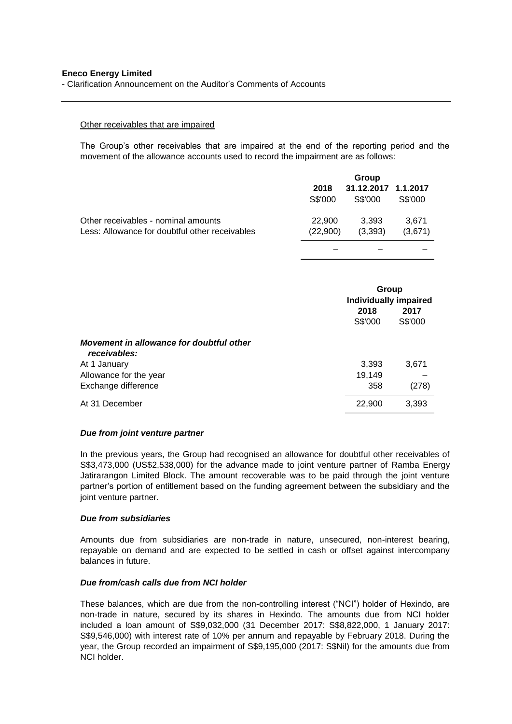- Clarification Announcement on the Auditor's Comments of Accounts

#### Other receivables that are impaired

The Group's other receivables that are impaired at the end of the reporting period and the movement of the allowance accounts used to record the impairment are as follows:

|                                                |          | Group               |         |
|------------------------------------------------|----------|---------------------|---------|
|                                                | 2018     | 31.12.2017 1.1.2017 |         |
|                                                | S\$'000  | S\$'000             | S\$'000 |
| Other receivables - nominal amounts            | 22,900   | 3.393               | 3.671   |
| Less: Allowance for doubtful other receivables | (22,900) | (3,393)             | (3,671) |
|                                                |          |                     |         |

|                                                                          | Group<br><b>Individually impaired</b> |                 |
|--------------------------------------------------------------------------|---------------------------------------|-----------------|
|                                                                          | 2018<br>S\$'000                       | 2017<br>S\$'000 |
| Movement in allowance for doubtful other<br>receivables:<br>At 1 January | 3,393                                 | 3,671           |
| Allowance for the year<br>Exchange difference                            | 19,149<br>358                         | (278)           |
| At 31 December                                                           | 22,900                                | 3,393           |

## *Due from joint venture partner*

In the previous years, the Group had recognised an allowance for doubtful other receivables of S\$3,473,000 (US\$2,538,000) for the advance made to joint venture partner of Ramba Energy Jatirarangon Limited Block. The amount recoverable was to be paid through the joint venture partner's portion of entitlement based on the funding agreement between the subsidiary and the joint venture partner.

## *Due from subsidiaries*

Amounts due from subsidiaries are non-trade in nature, unsecured, non-interest bearing, repayable on demand and are expected to be settled in cash or offset against intercompany balances in future.

# *Due from/cash calls due from NCI holder*

These balances, which are due from the non-controlling interest ("NCI") holder of Hexindo, are non-trade in nature, secured by its shares in Hexindo. The amounts due from NCI holder included a loan amount of S\$9,032,000 (31 December 2017: S\$8,822,000, 1 January 2017: S\$9,546,000) with interest rate of 10% per annum and repayable by February 2018. During the year, the Group recorded an impairment of S\$9,195,000 (2017: S\$Nil) for the amounts due from NCI holder.